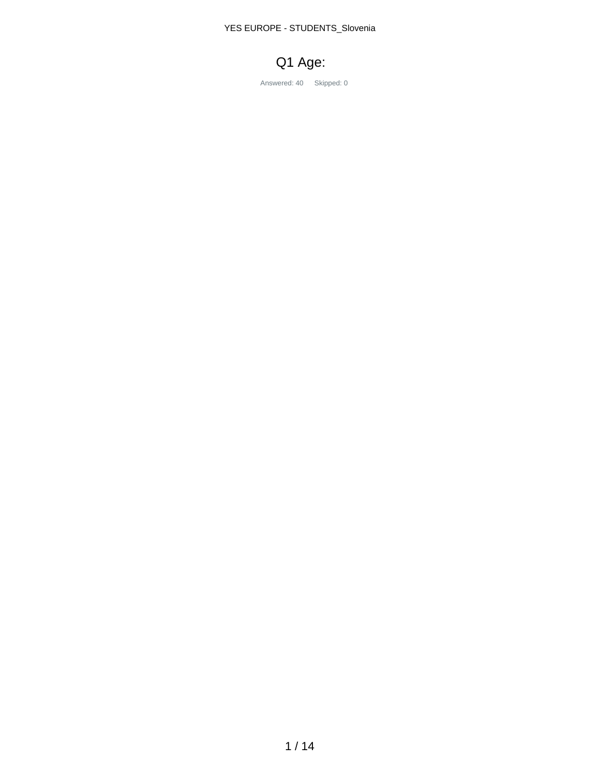YES EUROPE - STUDENTS\_Slovenia



Answered: 40 Skipped: 0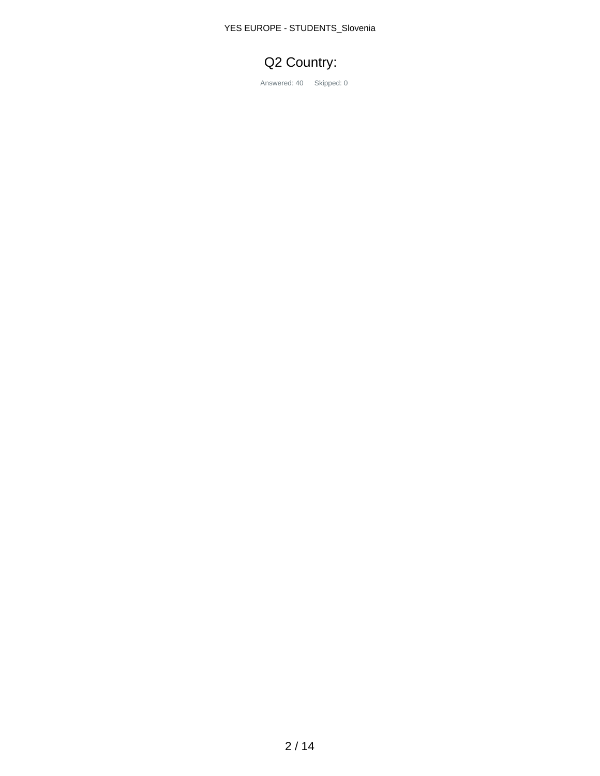YES EUROPE - STUDENTS\_Slovenia

# Q2 Country:

Answered: 40 Skipped: 0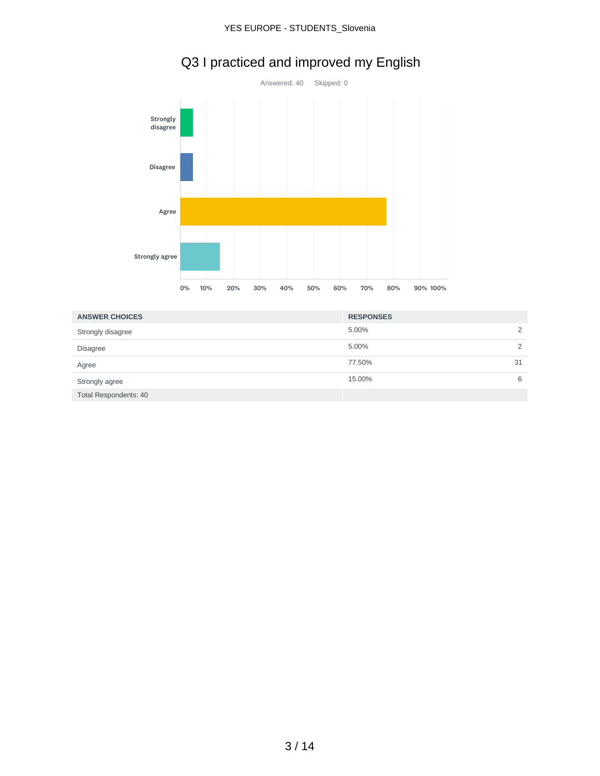#### YES EUROPE - STUDENTS\_Slovenia



# Q3 I practiced and improved my English

| <b>ANSWER CHOICES</b>        | <b>RESPONSES</b> |    |
|------------------------------|------------------|----|
| Strongly disagree            | 5.00%            |    |
| <b>Disagree</b>              | 5.00%            | 2  |
| Agree                        | 77.50%           | 31 |
| Strongly agree               | 15.00%           | 6  |
| <b>Total Respondents: 40</b> |                  |    |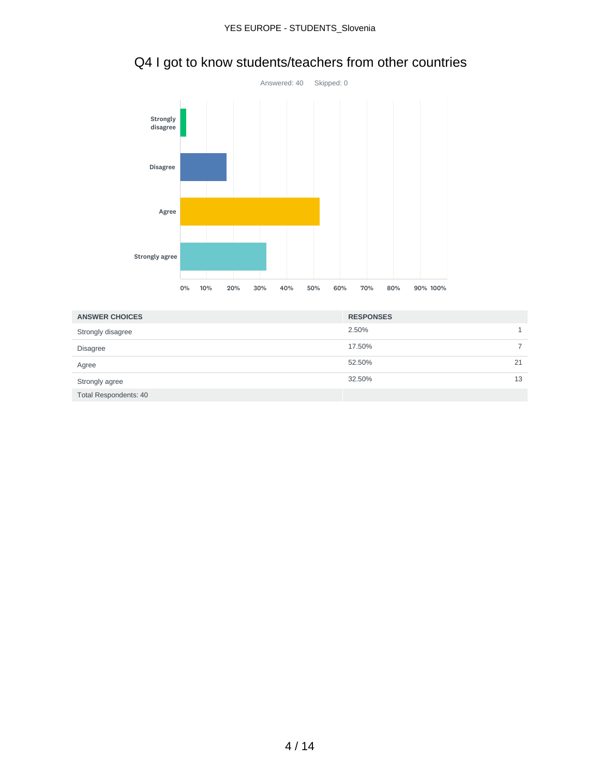

# Q4 I got to know students/teachers from other countries

| <b>ANSWER CHOICES</b>        | <b>RESPONSES</b> |    |
|------------------------------|------------------|----|
| Strongly disagree            | 2.50%            |    |
| <b>Disagree</b>              | 17.50%           |    |
| Agree                        | 52.50%           | 21 |
| Strongly agree               | 32.50%           | 13 |
| <b>Total Respondents: 40</b> |                  |    |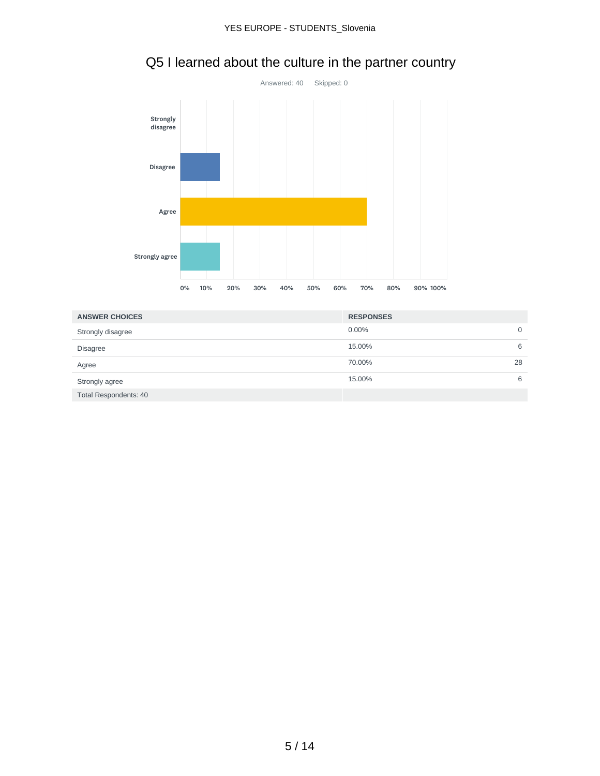

# Q5 I learned about the culture in the partner country

| <b>ANSWER CHOICES</b> | <b>RESPONSES</b> |    |
|-----------------------|------------------|----|
| Strongly disagree     | 0.00%            | 0  |
| <b>Disagree</b>       | 15.00%           | 6  |
| Agree                 | 70.00%           | 28 |
| Strongly agree        | 15.00%           | 6  |
| Total Respondents: 40 |                  |    |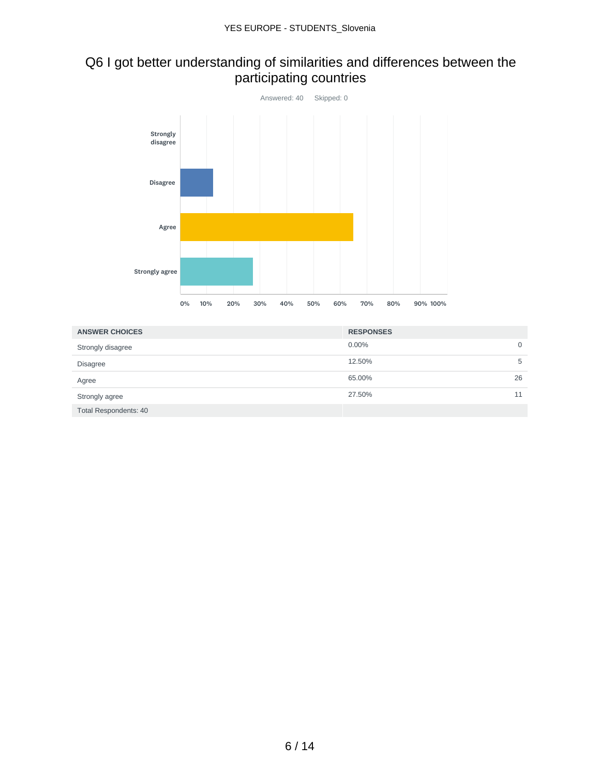### Q6 I got better understanding of similarities and differences between the participating countries



| <b>ANSWER CHOICES</b>        | <b>RESPONSES</b> |    |
|------------------------------|------------------|----|
| Strongly disagree            | $0.00\%$         | 0  |
| <b>Disagree</b>              | 12.50%           | 5  |
| Agree                        | 65.00%           | 26 |
| Strongly agree               | 27.50%           | 11 |
| <b>Total Respondents: 40</b> |                  |    |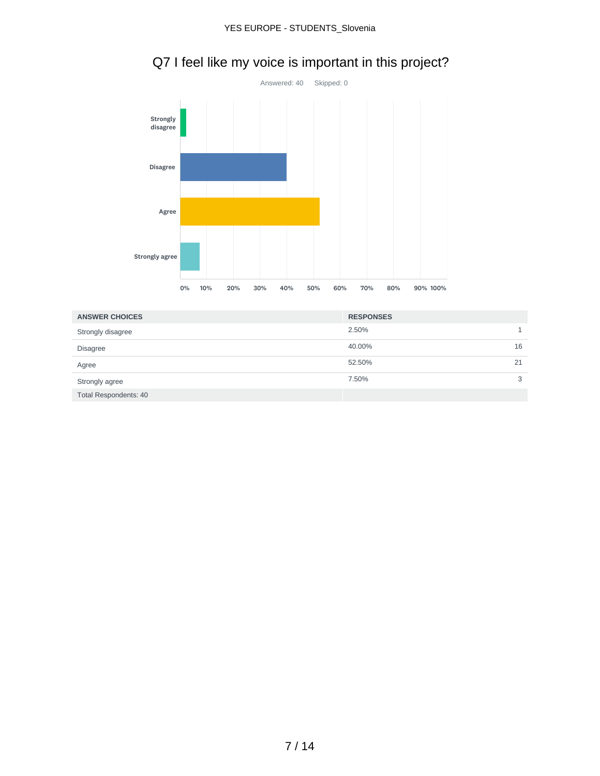

# Q7 I feel like my voice is important in this project?

| <b>ANSWER CHOICES</b> | <b>RESPONSES</b> |    |
|-----------------------|------------------|----|
| Strongly disagree     | 2.50%            |    |
| <b>Disagree</b>       | 40.00%           | 16 |
| Agree                 | 52.50%           | 21 |
| Strongly agree        | 7.50%            | 3  |
| Total Respondents: 40 |                  |    |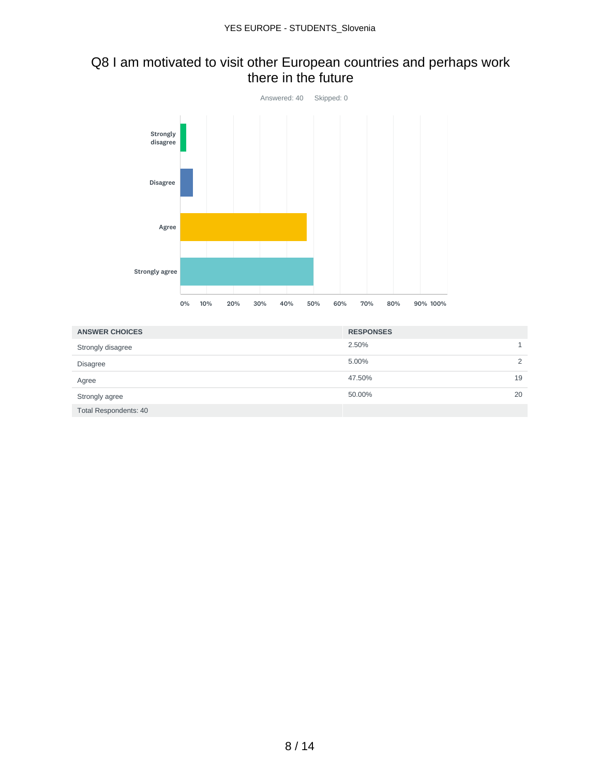#### Q8 I am motivated to visit other European countries and perhaps work there in the future



| <b>ANSWER CHOICES</b>        | <b>RESPONSES</b> |               |
|------------------------------|------------------|---------------|
| Strongly disagree            | 2.50%            |               |
| <b>Disagree</b>              | 5.00%            | $\mathcal{L}$ |
| Agree                        | 47.50%           | 19            |
| Strongly agree               | 50.00%           | 20            |
| <b>Total Respondents: 40</b> |                  |               |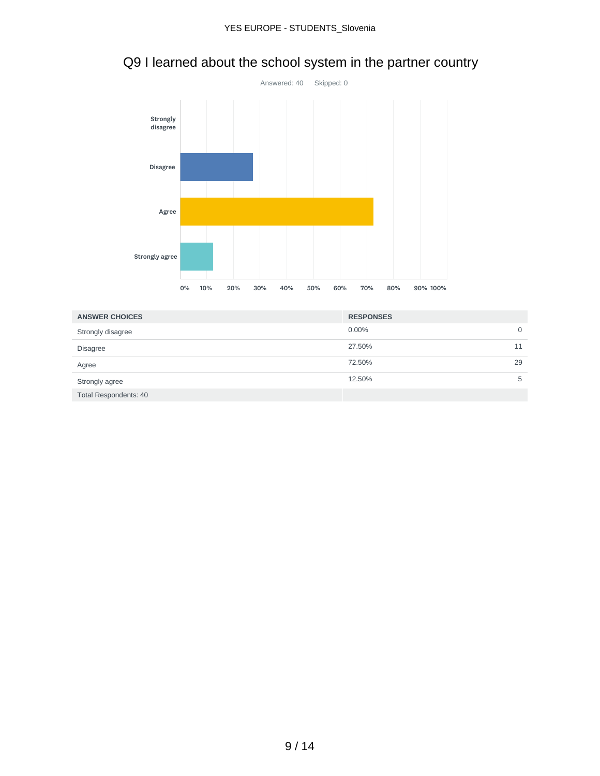

# Q9 I learned about the school system in the partner country

| <b>ANSWER CHOICES</b> | <b>RESPONSES</b> |    |
|-----------------------|------------------|----|
| Strongly disagree     | 0.00%            | 0  |
| <b>Disagree</b>       | 27.50%           |    |
| Agree                 | 72.50%           | 29 |
| Strongly agree        | 12.50%           | 5  |
| Total Respondents: 40 |                  |    |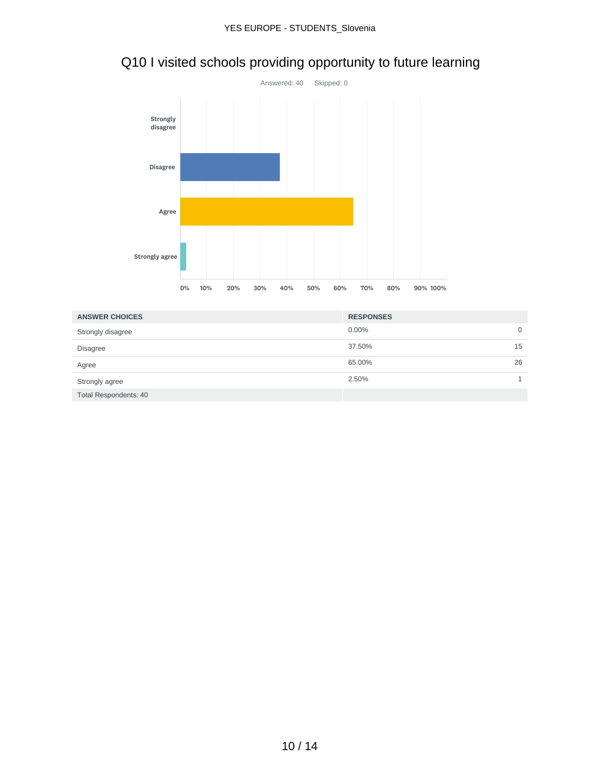

# Q10 I visited schools providing opportunity to future learning

| <b>ANSWER CHOICES</b>        | <b>RESPONSES</b> |    |
|------------------------------|------------------|----|
| Strongly disagree            | 0.00%            | 0  |
| <b>Disagree</b>              | 37.50%           | 15 |
| Agree                        | 65.00%           | 26 |
| Strongly agree               | 2.50%            |    |
| <b>Total Respondents: 40</b> |                  |    |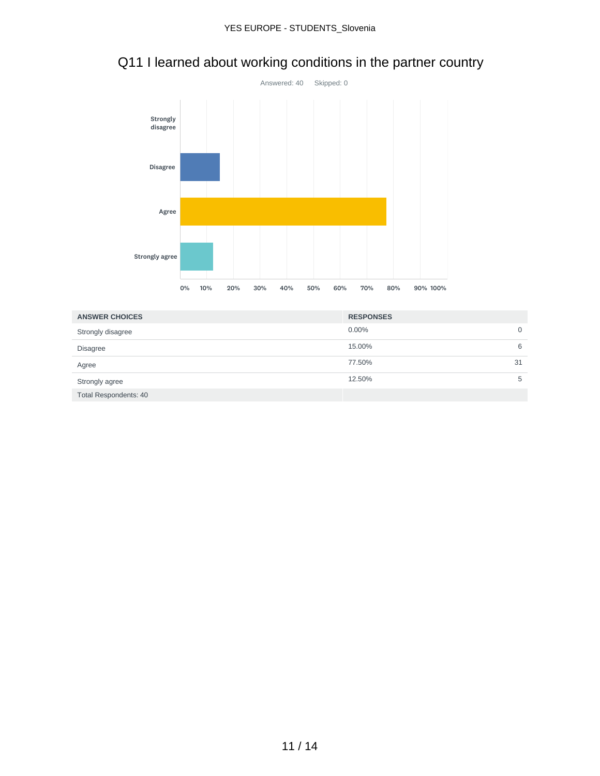

# Q11 I learned about working conditions in the partner country

| <b>ANSWER CHOICES</b>        | <b>RESPONSES</b> |    |
|------------------------------|------------------|----|
| Strongly disagree            | 0.00%            | 0  |
| <b>Disagree</b>              | 15.00%           | 6  |
| Agree                        | 77.50%           | 31 |
| Strongly agree               | 12.50%           | 5  |
| <b>Total Respondents: 40</b> |                  |    |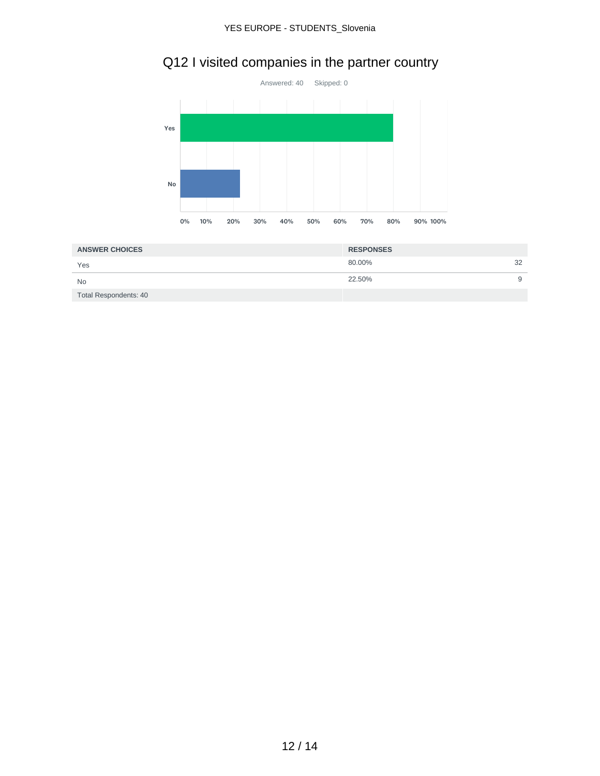# Q12 I visited companies in the partner country



| <b>ANSWER CHOICES</b> | <b>RESPONSES</b> |   |
|-----------------------|------------------|---|
| Yes                   | 32<br>80.00%     |   |
| <b>No</b>             | 22.50%           | 9 |
| Total Respondents: 40 |                  |   |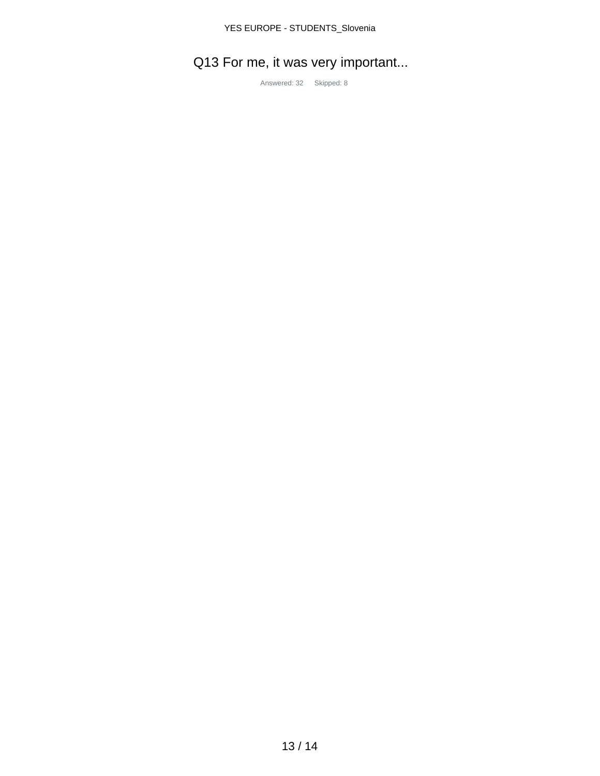# Q13 For me, it was very important...

Answered: 32 Skipped: 8